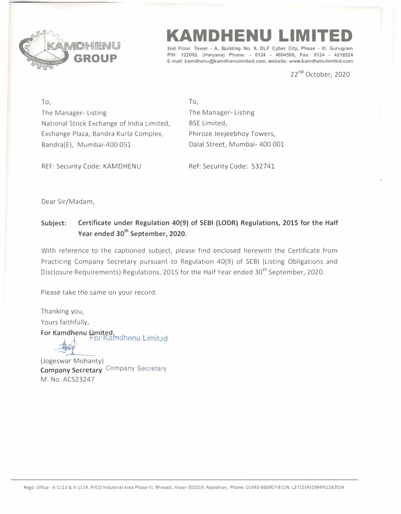

## **KAMDHENU LIMITED**

**2nd Floor, Tower - A, Building No. 9, DLF Cyber City, Phase • Ill, Gurugram PIN: 122002, (Haryana) Phone: - 0124 • 4604500, Fax: 0124 • 4218524 E-mail: kamdhenu@kamdhenulimited.com, website: www.kamdhenulimited.com**

22**nd** October, 2020

**To,**  The Manager- Listing National Stock Exchange of India Limited, Exchange Plaza, Sandra Kurla Complex, Bandra(E), Mumbai-400 051

To, The Manager- Listing BSE Limited, Phiroze Jeejeebhoy Towers, Dalal Street, Mumbai- 400 001

REF: Security Code: KAMDHENU Ref: Security Code: 532741

Dear Sir/Madam,

M. No. ACS23247

## **Subject: Certificate under Regulation 40(9) of SEBI {LODR) Regulations, 2015 for the Half Year ended 30th September, 2020.**

With reference to the captioned subject, please find enclosed herewith the Certificate from Practicing Company Secretary pursuant to Regulation 40(9) of SEBI (Listing Obligations and Disclosure Requirements) Regulations, 2015 for the Half Year ended 30<sup>th</sup> September, 2020.

Please take the same on your record.

Thanking you, Yours faithfully, **For Kamdhenu Limited, by Kamdhenu Limited** (Jogeswar Mohanty) **Company Secretary** Company Secretary